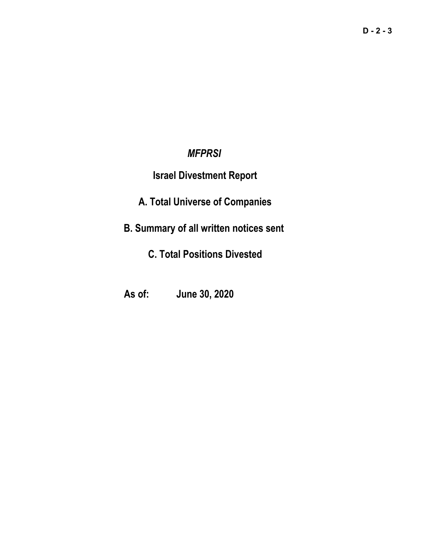### *MFPRSI*

### **Israel Divestment Report**

# **A. Total Universe of Companies**

# **B. Summary of all written notices sent**

# **C. Total Positions Divested**

### **As of: June 30, 2020**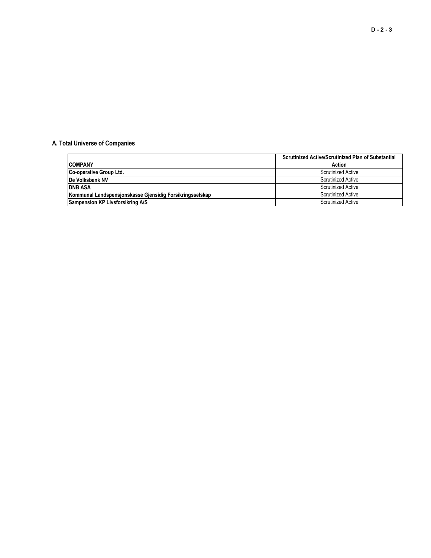#### **A. Total Universe of Companies**

|                                                          | <b>Scrutinized Active/Scrutinized Plan of Substantial</b> |
|----------------------------------------------------------|-----------------------------------------------------------|
| <b>COMPANY</b>                                           | Action                                                    |
| <b>Co-operative Group Ltd.</b>                           | <b>Scrutinized Active</b>                                 |
| <b>IDe Volksbank NV</b>                                  | Scrutinized Active                                        |
| <b>DNB ASA</b>                                           | <b>Scrutinized Active</b>                                 |
| Kommunal Landspensjonskasse Gjensidig Forsikringsselskap | Scrutinized Active                                        |
| Sampension KP Livsforsikring A/S                         | <b>Scrutinized Active</b>                                 |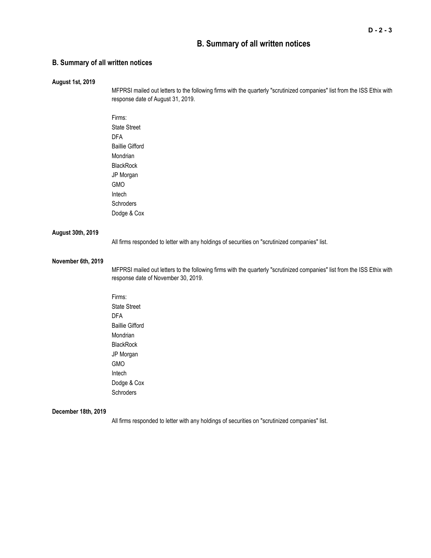### **B. Summary of all written notices**

#### **B. Summary of all written notices**

| <b>August 1st, 2019</b> |                                                                                                                          |
|-------------------------|--------------------------------------------------------------------------------------------------------------------------|
|                         | MFPRSI mailed out letters to the following firms with the quarterly "scrutinized companies" list from the ISS Ethix with |
|                         | response date of August 31, 2019.                                                                                        |
|                         |                                                                                                                          |
|                         | Firms:                                                                                                                   |
|                         | <b>State Street</b>                                                                                                      |
|                         | <b>DFA</b>                                                                                                               |
|                         | <b>Baillie Gifford</b>                                                                                                   |
|                         | Mondrian                                                                                                                 |
|                         | BlackRock                                                                                                                |
|                         | JP Morgan                                                                                                                |
|                         | <b>GMO</b>                                                                                                               |
|                         | Intech                                                                                                                   |
|                         | Schroders                                                                                                                |
|                         | Dodge & Cox                                                                                                              |
| August 30th, 2019       |                                                                                                                          |
|                         | All firms responded to letter with any holdings of securities on "scrutinized companies" list.                           |
| November 6th, 2019      |                                                                                                                          |
|                         | MFPRSI mailed out letters to the following firms with the quarterly "scrutinized companies" list from the ISS Ethix with |
|                         | response date of November 30, 2019.                                                                                      |
|                         | Firms:                                                                                                                   |
|                         | <b>State Street</b>                                                                                                      |
|                         | <b>DFA</b>                                                                                                               |
|                         | <b>Baillie Gifford</b>                                                                                                   |
|                         | Mondrian                                                                                                                 |
|                         | BlackRock                                                                                                                |
|                         | JP Morgan                                                                                                                |
|                         | GMO                                                                                                                      |
|                         | Intech                                                                                                                   |
|                         | Dodge & Cox                                                                                                              |
|                         | Schroders                                                                                                                |
| December 18th, 2019     |                                                                                                                          |

All firms responded to letter with any holdings of securities on "scrutinized companies" list.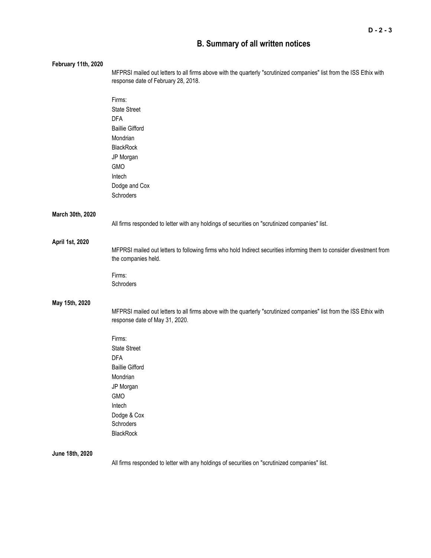### **B. Summary of all written notices**

| February 11th, 2020 |                                                                                                                                                        |
|---------------------|--------------------------------------------------------------------------------------------------------------------------------------------------------|
|                     | MFPRSI mailed out letters to all firms above with the quarterly "scrutinized companies" list from the ISS Ethix with                                   |
|                     | response date of February 28, 2018.                                                                                                                    |
|                     | Firms:                                                                                                                                                 |
|                     | <b>State Street</b>                                                                                                                                    |
|                     | <b>DFA</b>                                                                                                                                             |
|                     | <b>Baillie Gifford</b>                                                                                                                                 |
|                     | Mondrian                                                                                                                                               |
|                     | <b>BlackRock</b>                                                                                                                                       |
|                     | JP Morgan                                                                                                                                              |
|                     | <b>GMO</b>                                                                                                                                             |
|                     | Intech                                                                                                                                                 |
|                     | Dodge and Cox                                                                                                                                          |
|                     | Schroders                                                                                                                                              |
| March 30th, 2020    |                                                                                                                                                        |
|                     | All firms responded to letter with any holdings of securities on "scrutinized companies" list.                                                         |
| April 1st, 2020     |                                                                                                                                                        |
|                     | MFPRSI mailed out letters to following firms who hold Indirect securities informing them to consider divestment from<br>the companies held.            |
|                     | Firms:                                                                                                                                                 |
|                     | Schroders                                                                                                                                              |
| May 15th, 2020      |                                                                                                                                                        |
|                     | MFPRSI mailed out letters to all firms above with the quarterly "scrutinized companies" list from the ISS Ethix with<br>response date of May 31, 2020. |
|                     | Firms:                                                                                                                                                 |
|                     | <b>State Street</b>                                                                                                                                    |
|                     | <b>DFA</b>                                                                                                                                             |
|                     | <b>Baillie Gifford</b>                                                                                                                                 |
|                     | Mondrian                                                                                                                                               |
|                     | JP Morgan                                                                                                                                              |
|                     | GMO                                                                                                                                                    |
|                     | Intech                                                                                                                                                 |
|                     | Dodge & Cox                                                                                                                                            |
|                     | Schroders                                                                                                                                              |
|                     | <b>BlackRock</b>                                                                                                                                       |
| June 18th, 2020     |                                                                                                                                                        |
|                     | All firms responded to letter with any holdings of securities on "scrutinized companies" list.                                                         |